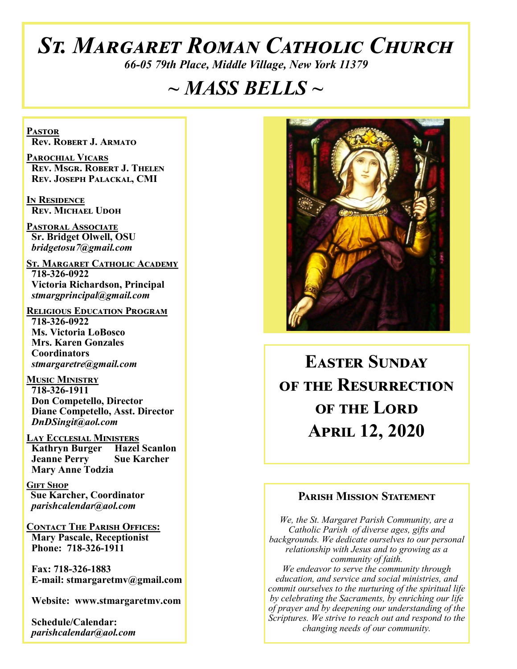# *St. Margaret Roman Catholic Church*

*66-05 79th Place, Middle Village, New York 11379*

# *~ MASS BELLS ~*

**Pastor Rev. Robert J. Armato**

**Parochial Vicars Rev. Msgr. Robert J. Thelen Rev. Joseph Palackal, CMI**

**In Residence Rev. Michael Udoh**

**Pastoral Associate Sr. Bridget Olwell, OSU**  *bridgetosu7@gmail.com*

**St. Margaret Catholic Academy 718-326-0922 Victoria Richardson, Principal**  *stmargprincipal@gmail.com*

**Religious Education Program 718-326-0922 Ms. Victoria LoBosco Mrs. Karen Gonzales Coordinators** *stmargaretre@gmail.com*

**Music Ministry 718-326-1911 Don Competello, Director Diane Competello, Asst. Director** *DnDSingit@aol.com*

**Lay Ecclesial Ministers Kathryn Burger Hazel Scanlon<br>Jeanne Perry Sue Karcher Jeanne Perry Mary Anne Todzia**

**Gift Shop Sue Karcher, Coordinator** *parishcalendar@aol.com*

**Contact The Parish Offices: Mary Pascale, Receptionist Phone: 718-326-1911** 

 **Fax: 718-326-1883 E-mail: stmargaretmv@gmail.com**

 **Website: www.stmargaretmv.com**

 **Schedule/Calendar:** *parishcalendar@aol.com* 



**Easter Sunday of the Resurrection OF THE LORD April 12, 2020** 

#### **Parish Mission Statement**

*We, the St. Margaret Parish Community, are a Catholic Parish of diverse ages, gifts and backgrounds. We dedicate ourselves to our personal relationship with Jesus and to growing as a community of faith. We endeavor to serve the community through education, and service and social ministries, and commit ourselves to the nurturing of the spiritual life by celebrating the Sacraments, by enriching our life of prayer and by deepening our understanding of the Scriptures. We strive to reach out and respond to the changing needs of our community.*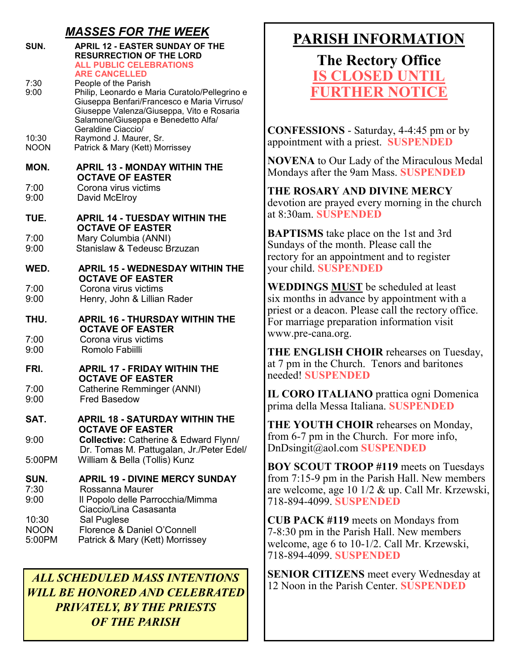## *MASSES FOR THE WEEK*

| SUN.                           | <b>APRIL 12 - EASTER SUNDAY OF THE</b><br><b>RESURRECTION OF THE LORD</b><br><b>ALL PUBLIC CELEBRATIONS</b><br><b>ARE CANCELLED</b>                                                                                             |
|--------------------------------|---------------------------------------------------------------------------------------------------------------------------------------------------------------------------------------------------------------------------------|
| 7:30<br>9:00                   | People of the Parish<br>Philip, Leonardo e Maria Curatolo/Pellegrino e<br>Giuseppa Benfari/Francesco e Maria Virruso/<br>Giuseppe Valenza/Giuseppa, Vito e Rosaria<br>Salamone/Giuseppa e Benedetto Alfa/<br>Geraldine Ciaccio/ |
| 10:30<br><b>NOON</b>           | Raymond J. Maurer, Sr.<br>Patrick & Mary (Kett) Morrissey                                                                                                                                                                       |
| MON.                           | <b>APRIL 13 - MONDAY WITHIN THE</b><br><b>OCTAVE OF EASTER</b>                                                                                                                                                                  |
| 7:00<br>9:00                   | Corona virus victims<br>David McElroy                                                                                                                                                                                           |
| TUE.                           | <b>APRIL 14 - TUESDAY WITHIN THE</b><br><b>OCTAVE OF EASTER</b>                                                                                                                                                                 |
| 7:00<br>9:00                   | Mary Columbia (ANNI)<br>Stanislaw & Tedeusc Brzuzan                                                                                                                                                                             |
| WED.                           | <b>APRIL 15 - WEDNESDAY WITHIN THE</b><br><b>OCTAVE OF EASTER</b>                                                                                                                                                               |
| 7:00<br>9:00                   | Corona virus victims<br>Henry, John & Lillian Rader                                                                                                                                                                             |
| THU.                           | <b>APRIL 16 - THURSDAY WITHIN THE</b><br><b>OCTAVE OF EASTER</b>                                                                                                                                                                |
| 7:00<br>9:00                   | Corona virus victims<br>Romolo Fabiilli                                                                                                                                                                                         |
| FRI.                           | <b>APRIL 17 - FRIDAY WITHIN THE</b><br><b>OCTAVE OF EASTER</b>                                                                                                                                                                  |
| 7:00<br>9:00                   | Catherine Remminger (ANNI)<br><b>Fred Basedow</b>                                                                                                                                                                               |
| SAT.                           | <b>APRIL 18 - SATURDAY WITHIN THE</b><br><b>OCTAVE OF EASTER</b>                                                                                                                                                                |
| 9:00                           | <b>Collective: Catherine &amp; Edward Flynn/</b><br>Dr. Tomas M. Pattugalan, Jr./Peter Edel/                                                                                                                                    |
| 5:00PM                         | William & Bella (Tollis) Kunz                                                                                                                                                                                                   |
| SUN.<br>7:30<br>9:00           | <b>APRIL 19 - DIVINE MERCY SUNDAY</b><br>Rossanna Maurer<br>Il Popolo delle Parrocchia/Mimma<br>Ciaccio/Lina Casasanta                                                                                                          |
| 10:30<br><b>NOON</b><br>5:00PM | Sal Puglese<br>Florence & Daniel O'Connell<br>Patrick & Mary (Kett) Morrissey                                                                                                                                                   |

# 12 Noon in the Parish Center. **SUSPENDED** *ALL SCHEDULED MASS INTENTIONS WILL BE HONORED AND CELEBRATED PRIVATELY, BY THE PRIESTS OF THE PARISH*

# **PARISH INFORMATION**

**The Rectory Office IS CLOSED UNTIL FURTHER NOTI** 

**CONFESSIONS** - Saturday, 4-4:45 pm or by appointment with a priest. **SUSPENDED**

**NOVENA** to Our Lady of the Miraculous Medal Mondays after the 9am Mass. **SUSPENDED**

**THE ROSARY AND DIVINE MERCY** devotion are prayed every morning in the church at 8:30am. **SUSPENDED**

**BAPTISMS** take place on the 1st and 3rd Sundays of the month. Please call the rectory for an appointment and to register your child. **SUSPENDED**

**WEDDINGS MUST** be scheduled at least six months in advance by appointment with a priest or a deacon. Please call the rectory office. For marriage preparation information visit www.pre-cana.org.

**THE ENGLISH CHOIR** rehearses on Tuesday, at 7 pm in the Church. Tenors and baritones needed! **SUSPENDED**

**IL CORO ITALIANO** prattica ogni Domenica prima della Messa Italiana. **SUSPENDED**

**THE YOUTH CHOIR** rehearses on Monday, from 6-7 pm in the Church. For more info, DnDsingit@aol.com **SUSPENDED**

**BOY SCOUT TROOP #119** meets on Tuesdays from 7:15-9 pm in the Parish Hall. New members are welcome, age 10 1/2 & up. Call Mr. Krzewski, 718-894-4099. **SUSPENDED**

**CUB PACK #119** meets on Mondays from 7-8:30 pm in the Parish Hall. New members welcome, age 6 to 10-1/2. Call Mr. Krzewski, 718-894-4099. **SUSPENDED**

**SENIOR CITIZENS** meet every Wednesday at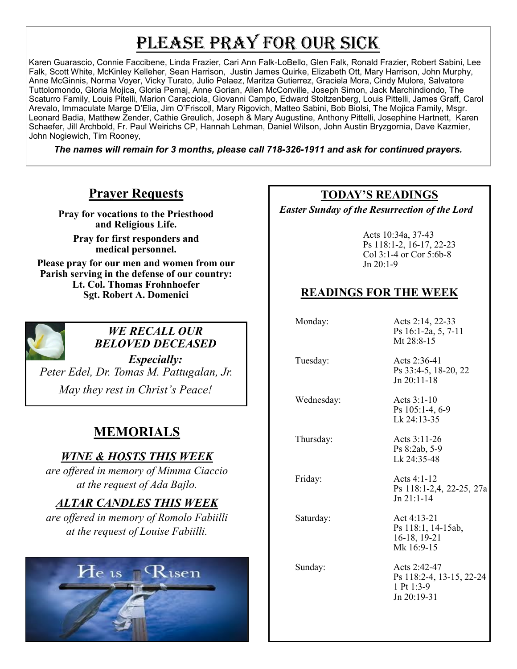# PLEASE PRAY FOR OUR SICK

Karen Guarascio, Connie Faccibene, Linda Frazier, Cari Ann Falk-LoBello, Glen Falk, Ronald Frazier, Robert Sabini, Lee Falk, Scott White, McKinley Kelleher, Sean Harrison, Justin James Quirke, Elizabeth Ott, Mary Harrison, John Murphy, Anne McGinnis, Norma Voyer, Vicky Turato, Julio Pelaez, Maritza Gutierrez, Graciela Mora, Cindy Mulore, Salvatore Tuttolomondo, Gloria Mojica, Gloria Pemaj, Anne Gorian, Allen McConville, Joseph Simon, Jack Marchindiondo, The Scaturro Family, Louis Pitelli, Marion Caracciola, Giovanni Campo, Edward Stoltzenberg, Louis Pittelli, James Graff, Carol Arevalo, Immaculate Marge D'Elia, Jim O'Friscoll, Mary Rigovich, Matteo Sabini, Bob Biolsi, The Mojica Family, Msgr. Leonard Badia, Matthew Zender, Cathie Greulich, Joseph & Mary Augustine, Anthony Pittelli, Josephine Hartnett, Karen Schaefer, Jill Archbold, Fr. Paul Weirichs CP, Hannah Lehman, Daniel Wilson, John Austin Bryzgornia, Dave Kazmier, John Nogiewich, Tim Rooney,

*The names will remain for 3 months, please call 718-326-1911 and ask for continued prayers.*

## **Prayer Requests**

**Pray for vocations to the Priesthood and Religious Life.** 

**Pray for first responders and medical personnel.**

**Please pray for our men and women from our Parish serving in the defense of our country: Lt. Col. Thomas Frohnhoefer Sgt. Robert A. Domenici** 



#### *WE RECALL OUR BELOVED DECEASED*

*Especially: Peter Edel, Dr. Tomas M. Pattugalan, Jr. May they rest in Christ's Peace!*

# **MEMORIALS**

#### *WINE & HOSTS THIS WEEK*

*are offered in memory of Mimma Ciaccio at the request of Ada Bajlo.*

# *ALTAR CANDLES THIS WEEK*

*are offered in memory of Romolo Fabiilli at the request of Louise Fabiilli.*



#### **TODAY'S READINGS**

 *Easter Sunday of the Resurrection of the Lord* 

Acts 10:34a, 37-43 Ps 118:1-2, 16-17, 22-23 Col 3:1-4 or Cor 5:6b-8 Jn 20:1-9

## **READINGS FOR THE WEEK**

 Monday: Acts 2:14, 22-33 Ps 16:1-2a, 5, 7-11 Mt 28:8-15 Tuesday: Acts 2:36-41 Ps 33:4-5, 18-20, 22 Jn 20:11-18 Wednesday: Acts 3:1-10 Ps 105:1-4, 6-9 Lk 24:13-35 Thursday: Acts 3:11-26 Ps 8:2ab, 5-9 Lk 24:35-48 Friday: Acts 4:1-12 Ps 118:1-2,4, 22-25, 27a Jn 21:1-14 Saturday: Act 4:13-21 Ps 118:1, 14-15ab, 16-18, 19-21 Mk 16:9-15 Sunday: Acts 2:42-47 Ps 118:2-4, 13-15, 22-24 1 Pt 1:3-9 Jn 20:19-31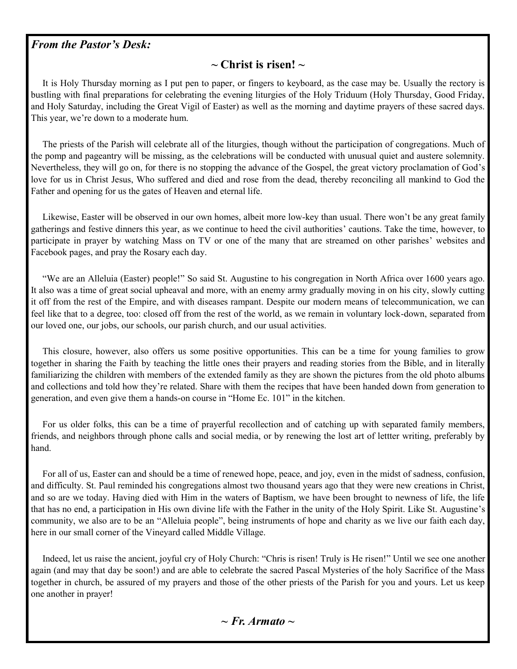#### *From the Pastor's Desk:*

#### **~ Christ is risen! ~**

 It is Holy Thursday morning as I put pen to paper, or fingers to keyboard, as the case may be. Usually the rectory is bustling with final preparations for celebrating the evening liturgies of the Holy Triduum (Holy Thursday, Good Friday, and Holy Saturday, including the Great Vigil of Easter) as well as the morning and daytime prayers of these sacred days. This year, we're down to a moderate hum.

 The priests of the Parish will celebrate all of the liturgies, though without the participation of congregations. Much of the pomp and pageantry will be missing, as the celebrations will be conducted with unusual quiet and austere solemnity. Nevertheless, they will go on, for there is no stopping the advance of the Gospel, the great victory proclamation of God's love for us in Christ Jesus, Who suffered and died and rose from the dead, thereby reconciling all mankind to God the Father and opening for us the gates of Heaven and eternal life.

 Likewise, Easter will be observed in our own homes, albeit more low-key than usual. There won't be any great family gatherings and festive dinners this year, as we continue to heed the civil authorities' cautions. Take the time, however, to participate in prayer by watching Mass on TV or one of the many that are streamed on other parishes' websites and Facebook pages, and pray the Rosary each day.

 "We are an Alleluia (Easter) people!" So said St. Augustine to his congregation in North Africa over 1600 years ago. It also was a time of great social upheaval and more, with an enemy army gradually moving in on his city, slowly cutting it off from the rest of the Empire, and with diseases rampant. Despite our modern means of telecommunication, we can feel like that to a degree, too: closed off from the rest of the world, as we remain in voluntary lock-down, separated from our loved one, our jobs, our schools, our parish church, and our usual activities.

 This closure, however, also offers us some positive opportunities. This can be a time for young families to grow together in sharing the Faith by teaching the little ones their prayers and reading stories from the Bible, and in literally familiarizing the children with members of the extended family as they are shown the pictures from the old photo albums and collections and told how they're related. Share with them the recipes that have been handed down from generation to generation, and even give them a hands-on course in "Home Ec. 101" in the kitchen.

 For us older folks, this can be a time of prayerful recollection and of catching up with separated family members, friends, and neighbors through phone calls and social media, or by renewing the lost art of lettter writing, preferably by hand.

 For all of us, Easter can and should be a time of renewed hope, peace, and joy, even in the midst of sadness, confusion, and difficulty. St. Paul reminded his congregations almost two thousand years ago that they were new creations in Christ, and so are we today. Having died with Him in the waters of Baptism, we have been brought to newness of life, the life that has no end, a participation in His own divine life with the Father in the unity of the Holy Spirit. Like St. Augustine's community, we also are to be an "Alleluia people", being instruments of hope and charity as we live our faith each day, here in our small corner of the Vineyard called Middle Village.

 Indeed, let us raise the ancient, joyful cry of Holy Church: "Chris is risen! Truly is He risen!" Until we see one another again (and may that day be soon!) and are able to celebrate the sacred Pascal Mysteries of the holy Sacrifice of the Mass together in church, be assured of my prayers and those of the other priests of the Parish for you and yours. Let us keep one another in prayer!

*~ Fr. Armato ~*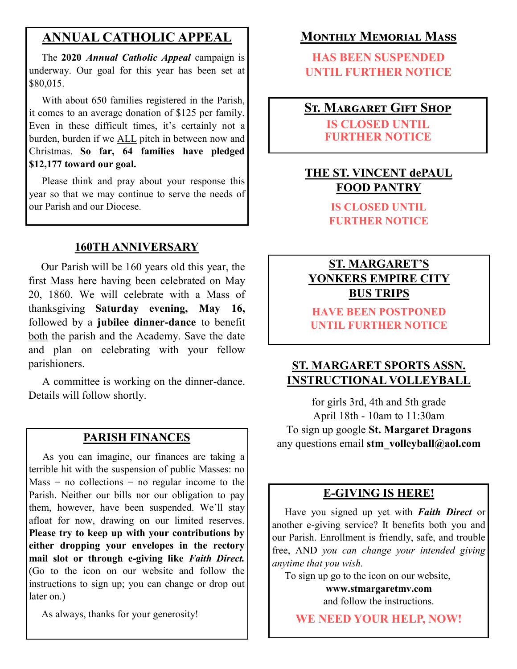# **ANNUAL CATHOLIC APPEAL**

 The **2020** *Annual Catholic Appeal* campaign is underway. Our goal for this year has been set at \$80,015.

 With about 650 families registered in the Parish, it comes to an average donation of \$125 per family. Even in these difficult times, it's certainly not a burden, burden if we ALL pitch in between now and Christmas. **So far, 64 families have pledged \$12,177 toward our goal.**

 Please think and pray about your response this year so that we may continue to serve the needs of our Parish and our Diocese.

#### **160TH ANNIVERSARY**

 Our Parish will be 160 years old this year, the first Mass here having been celebrated on May 20, 1860. We will celebrate with a Mass of thanksgiving **Saturday evening, May 16,**  followed by a **jubilee dinner-dance** to benefit both the parish and the Academy. Save the date and plan on celebrating with your fellow parishioners.

 A committee is working on the dinner-dance. Details will follow shortly.

 As you can imagine, our finances are taking a terrible hit with the suspension of public Masses: no  $Mass = no$  collections = no regular income to the Parish. Neither our bills nor our obligation to pay them, however, have been suspended. We'll stay afloat for now, drawing on our limited reserves. **Please try to keep up with your contributions by either dropping your envelopes in the rectory mail slot or through e-giving like** *Faith Direct.*  (Go to the icon on our website and follow the instructions to sign up; you can change or drop out later on.)

As always, thanks for your generosity!

#### **Monthly Memorial Mass**

**HAS BEEN SUSPENDED UNTIL FURTHER NOTICE**

# **St. Margaret Gift Shop**

**IS CLOSED UNTIL FURTHER NOTICE**

#### **THE ST. VINCENT dePAUL FOOD PANTRY**

**IS CLOSED UNTIL FURTHER NOTICE**

#### **ST. MARGARET'S YONKERS EMPIRE CITY BUS TRIPS**

**HAVE BEEN POSTPONED UNTIL FURTHER NOTICE**

#### **ST. MARGARET SPORTS ASSN. INSTRUCTIONAL VOLLEYBALL**

for girls 3rd, 4th and 5th grade April 18th - 10am to 11:30am To sign up google **St. Margaret Dragons PARISH FINANCES** any questions email stm\_volleyball@aol.com

#### **E-GIVING IS HERE!**

 Have you signed up yet with *Faith Direct* or another e-giving service? It benefits both you and our Parish. Enrollment is friendly, safe, and trouble free, AND *you can change your intended giving anytime that you wish.*

To sign up go to the icon on our website,

**www.stmargaretmv.com**  and follow the instructions.

**WE NEED YOUR HELP, NOW!**